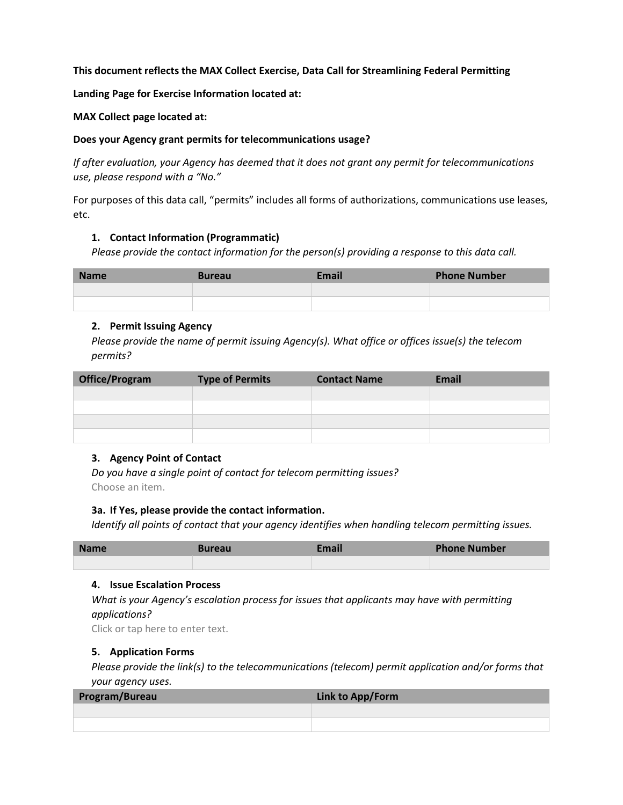#### **This document reflects the MAX Collect Exercise, Data Call for Streamlining Federal Permitting**

**Landing Page for Exercise Information located at:** 

**MAX Collect page located at:**

# **Does your Agency grant permits for telecommunications usage?**

*If after evaluation, your Agency has deemed that it does not grant any permit for telecommunications use, please respond with a "No."*

For purposes of this data call, "permits" includes all forms of authorizations, communications use leases, etc.

# **1. Contact Information (Programmatic)**

*Please provide the contact information for the person(s) providing a response to this data call.* 

| <b>Name</b> | <b>Bureau</b> | <b>Email</b> | <b>Phone Number</b> |
|-------------|---------------|--------------|---------------------|
|             |               |              |                     |
|             |               |              |                     |

# **2. Permit Issuing Agency**

*Please provide the name of permit issuing Agency(s). What office or offices issue(s) the telecom permits?*

| <b>Office/Program</b> | <b>Type of Permits</b> | <b>Contact Name</b> | <b>Email</b> |
|-----------------------|------------------------|---------------------|--------------|
|                       |                        |                     |              |
|                       |                        |                     |              |
|                       |                        |                     |              |
|                       |                        |                     |              |

# **3. Agency Point of Contact**

*Do you have a single point of contact for telecom permitting issues?*  Choose an item.

#### **3a. If Yes, please provide the contact information.**

*Identify all points of contact that your agency identifies when handling telecom permitting issues.*

| <b>Name</b> | Bureau | Email | <b>Phone Number</b> |
|-------------|--------|-------|---------------------|
|             |        |       |                     |

#### **4. Issue Escalation Process**

*What is your Agency's escalation process for issues that applicants may have with permitting applications?*

Click or tap here to enter text.

# **5. Application Forms**

*Please provide the link(s) to the telecommunications (telecom) permit application and/or forms that your agency uses.*

| Program/Bureau | Link to App/Form |
|----------------|------------------|
|                |                  |
|                |                  |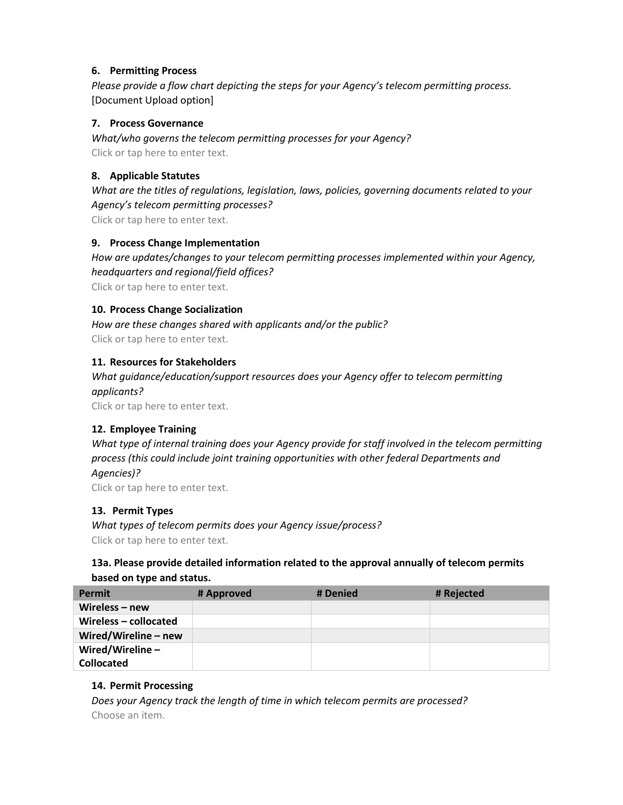# **6. Permitting Process**

*Please provide a flow chart depicting the steps for your Agency's telecom permitting process.* [Document Upload option]

# **7. Process Governance**

*What/who governs the telecom permitting processes for your Agency?* Click or tap here to enter text.

# **8. Applicable Statutes**

*What are the titles of regulations, legislation, laws, policies, governing documents related to your Agency's telecom permitting processes?* Click or tap here to enter text.

# **9. Process Change Implementation**

*How are updates/changes to your telecom permitting processes implemented within your Agency, headquarters and regional/field offices?* Click or tap here to enter text.

# **10. Process Change Socialization**

*How are these changes shared with applicants and/or the public?* Click or tap here to enter text.

# **11. Resources for Stakeholders**

*What guidance/education/support resources does your Agency offer to telecom permitting applicants?*

Click or tap here to enter text.

# **12. Employee Training**

*What type of internal training does your Agency provide for staff involved in the telecom permitting process (this could include joint training opportunities with other federal Departments and Agencies)?*

Click or tap here to enter text.

# **13. Permit Types**

*What types of telecom permits does your Agency issue/process?* Click or tap here to enter text.

# **13a. Please provide detailed information related to the approval annually of telecom permits based on type and status.**

| <b>Permit</b>          | # Approved | # Denied | # Rejected |
|------------------------|------------|----------|------------|
| Wireless $-$ new       |            |          |            |
| Wireless - collocated  |            |          |            |
| Wired/Wireline $-$ new |            |          |            |
| Wired/Wireline $-$     |            |          |            |
| <b>Collocated</b>      |            |          |            |

#### **14. Permit Processing**

*Does your Agency track the length of time in which telecom permits are processed?*  Choose an item.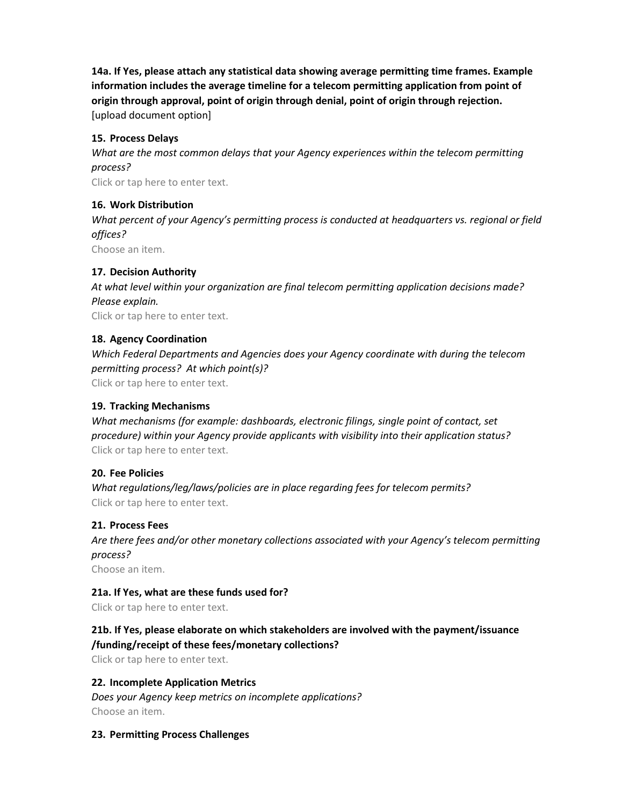**14a. If Yes, please attach any statistical data showing average permitting time frames. Example information includes the average timeline for a telecom permitting application from point of origin through approval, point of origin through denial, point of origin through rejection.** [upload document option]

# **15. Process Delays**

*What are the most common delays that your Agency experiences within the telecom permitting process?* 

Click or tap here to enter text.

#### **16. Work Distribution**

*What percent of your Agency's permitting process is conducted at headquarters vs. regional or field offices?*

Choose an item.

# **17. Decision Authority**

*At what level within your organization are final telecom permitting application decisions made? Please explain.*

Click or tap here to enter text.

# **18. Agency Coordination**

*Which Federal Departments and Agencies does your Agency coordinate with during the telecom permitting process? At which point(s)?*

Click or tap here to enter text.

# **19. Tracking Mechanisms**

*What mechanisms (for example: dashboards, electronic filings, single point of contact, set procedure) within your Agency provide applicants with visibility into their application status?* Click or tap here to enter text.

#### **20. Fee Policies**

*What regulations/leg/laws/policies are in place regarding fees for telecom permits?* Click or tap here to enter text.

#### **21. Process Fees**

*Are there fees and/or other monetary collections associated with your Agency's telecom permitting process?*

Choose an item.

#### **21a. If Yes, what are these funds used for?**

Click or tap here to enter text.

# **21b. If Yes, please elaborate on which stakeholders are involved with the payment/issuance /funding/receipt of these fees/monetary collections?**

Click or tap here to enter text.

# **22. Incomplete Application Metrics**

*Does your Agency keep metrics on incomplete applications?* Choose an item.

#### **23. Permitting Process Challenges**